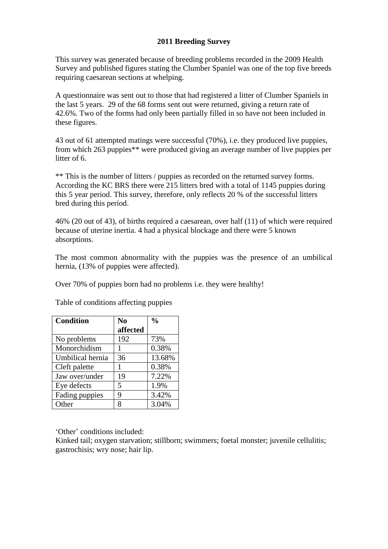## **2011 Breeding Survey**

This survey was generated because of breeding problems recorded in the 2009 Health Survey and published figures stating the Clumber Spaniel was one of the top five breeds requiring caesarean sections at whelping.

A questionnaire was sent out to those that had registered a litter of Clumber Spaniels in the last 5 years. 29 of the 68 forms sent out were returned, giving a return rate of 42.6%. Two of the forms had only been partially filled in so have not been included in these figures.

43 out of 61 attempted matings were successful (70%), i.e. they produced live puppies, from which 263 puppies\*\* were produced giving an average number of live puppies per litter of 6.

\*\* This is the number of litters / puppies as recorded on the returned survey forms. According the KC BRS there were 215 litters bred with a total of 1145 puppies during this 5 year period. This survey, therefore, only reflects 20 % of the successful litters bred during this period.

46% (20 out of 43), of births required a caesarean, over half (11) of which were required because of uterine inertia. 4 had a physical blockage and there were 5 known absorptions.

The most common abnormality with the puppies was the presence of an umbilical hernia, (13% of puppies were affected).

Over 70% of puppies born had no problems i.e. they were healthy!

**Condition No affected %** No problems  $192$  73% Monorchidism | 1 | 0.38% Umbilical hernia  $\begin{array}{|l} \hline 36 \end{array}$  13.68% Cleft palette  $1 \t 0.38\%$ Jaw over/under 19 7.22% Eye defects  $\begin{array}{|c|c|c|c|c|} \hline 5 & 1.9\% \hline \end{array}$ Fading puppies  $\begin{array}{|c|c|} \hline 9 & 3.42\% \hline \end{array}$ Other 8 3.04%

Table of conditions affecting puppies

'Other' conditions included:

Kinked tail; oxygen starvation; stillborn; swimmers; foetal monster; juvenile cellulitis; gastrochisis; wry nose; hair lip.